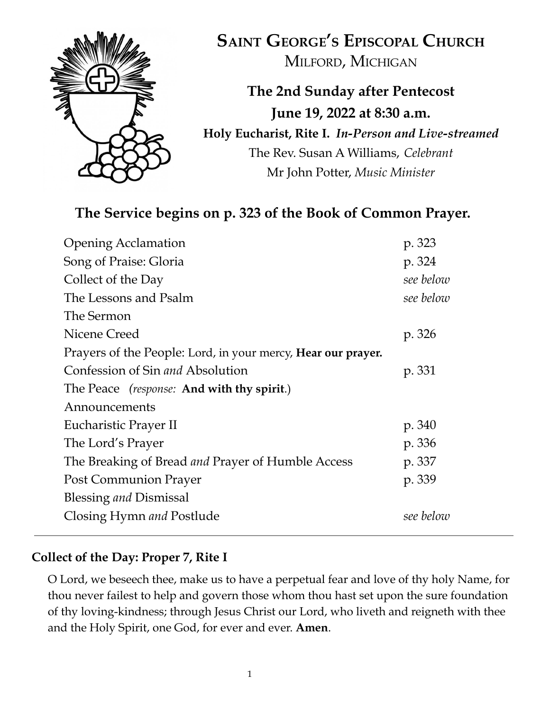

**SAINT GEORGE'<sup>S</sup> EPISCOPAL CHURCH** MILFORD, MICHIGAN

# **The 2nd Sunday after Pentecost June 19, 2022 at 8:30 a.m.**

**Holy Eucharist, Rite I.** *In-Person and Live-streamed*

The Rev. Susan A Williams, *Celebrant* Mr John Potter, *Music Minister*

# **The Service begins on p. 323 of the Book of Common Prayer.**

| <b>Opening Acclamation</b>                                   | p. 323    |
|--------------------------------------------------------------|-----------|
| Song of Praise: Gloria                                       | p. 324    |
| Collect of the Day                                           | see below |
| The Lessons and Psalm                                        | see below |
| The Sermon                                                   |           |
| Nicene Creed                                                 | p. 326    |
| Prayers of the People: Lord, in your mercy, Hear our prayer. |           |
| Confession of Sin and Absolution                             | p. 331    |
| The Peace (response: And with thy spirit.)                   |           |
| Announcements                                                |           |
| Eucharistic Prayer II                                        | p. 340    |
| The Lord's Prayer                                            | p. 336    |
| The Breaking of Bread and Prayer of Humble Access            | p. 337    |
| <b>Post Communion Prayer</b>                                 | p. 339    |
| <b>Blessing and Dismissal</b>                                |           |
| Closing Hymn and Postlude                                    | see below |

# **Collect of the Day: Proper 7, Rite I**

O Lord, we beseech thee, make us to have a perpetual fear and love of thy holy Name, for thou never failest to help and govern those whom thou hast set upon the sure foundation of thy loving-kindness; through Jesus Christ our Lord, who liveth and reigneth with thee and the Holy Spirit, one God, for ever and ever. **Amen**.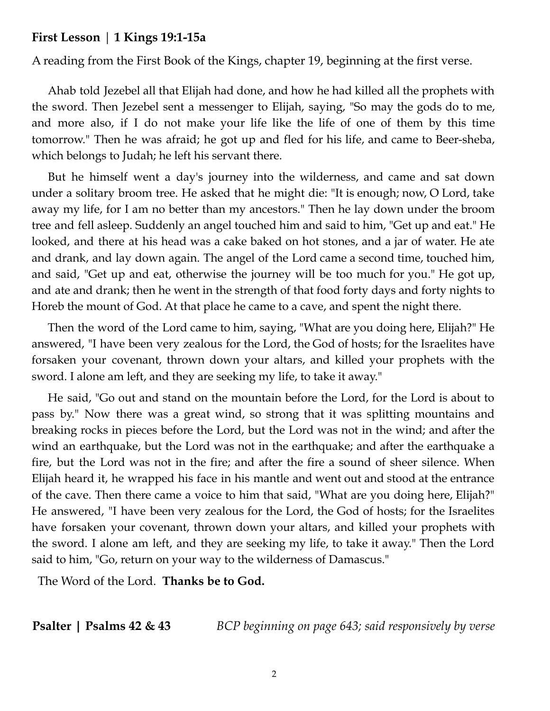#### **First Lesson** | **1 Kings 19:1-15a**

A reading from the First Book of the Kings, chapter 19, beginning at the first verse.

Ahab told Jezebel all that Elijah had done, and how he had killed all the prophets with the sword. Then Jezebel sent a messenger to Elijah, saying, "So may the gods do to me, and more also, if I do not make your life like the life of one of them by this time tomorrow." Then he was afraid; he got up and fled for his life, and came to Beer-sheba, which belongs to Judah; he left his servant there.

But he himself went a day's journey into the wilderness, and came and sat down under a solitary broom tree. He asked that he might die: "It is enough; now, O Lord, take away my life, for I am no better than my ancestors." Then he lay down under the broom tree and fell asleep. Suddenly an angel touched him and said to him, "Get up and eat." He looked, and there at his head was a cake baked on hot stones, and a jar of water. He ate and drank, and lay down again. The angel of the Lord came a second time, touched him, and said, "Get up and eat, otherwise the journey will be too much for you." He got up, and ate and drank; then he went in the strength of that food forty days and forty nights to Horeb the mount of God. At that place he came to a cave, and spent the night there.

Then the word of the Lord came to him, saying, "What are you doing here, Elijah?" He answered, "I have been very zealous for the Lord, the God of hosts; for the Israelites have forsaken your covenant, thrown down your altars, and killed your prophets with the sword. I alone am left, and they are seeking my life, to take it away."

He said, "Go out and stand on the mountain before the Lord, for the Lord is about to pass by." Now there was a great wind, so strong that it was splitting mountains and breaking rocks in pieces before the Lord, but the Lord was not in the wind; and after the wind an earthquake, but the Lord was not in the earthquake; and after the earthquake a fire, but the Lord was not in the fire; and after the fire a sound of sheer silence. When Elijah heard it, he wrapped his face in his mantle and went out and stood at the entrance of the cave. Then there came a voice to him that said, "What are you doing here, Elijah?" He answered, "I have been very zealous for the Lord, the God of hosts; for the Israelites have forsaken your covenant, thrown down your altars, and killed your prophets with the sword. I alone am left, and they are seeking my life, to take it away." Then the Lord said to him, "Go, return on your way to the wilderness of Damascus."

The Word of the Lord. **Thanks be to God.**

**Psalter | Psalms 42 & 43** *BCP beginning on page 643; said responsively by verse*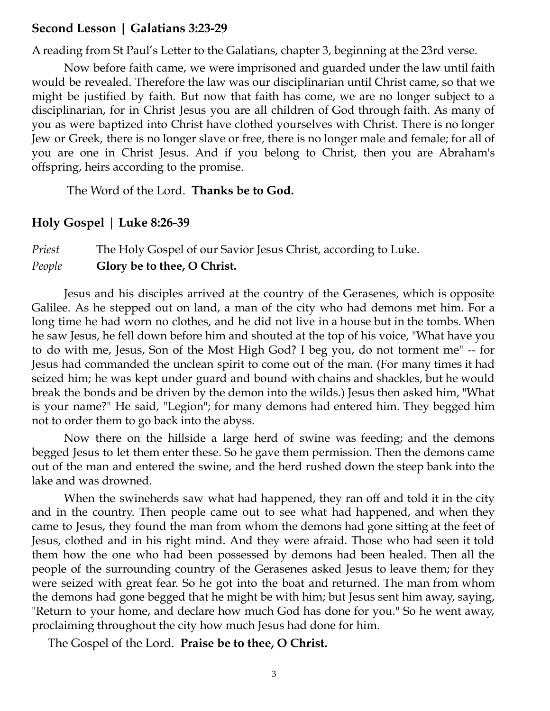#### **Second Lesson | Galatians 3:23-29**

A reading from St Paul's Letter to the Galatians, chapter 3, beginning at the 23rd verse.

Now before faith came, we were imprisoned and guarded under the law until faith would be revealed. Therefore the law was our disciplinarian until Christ came, so that we might be justified by faith. But now that faith has come, we are no longer subject to a disciplinarian, for in Christ Jesus you are all children of God through faith. As many of you as were baptized into Christ have clothed yourselves with Christ. There is no longer Jew or Greek, there is no longer slave or free, there is no longer male and female; for all of you are one in Christ Jesus. And if you belong to Christ, then you are Abraham's offspring, heirs according to the promise.

The Word of the Lord. **Thanks be to God.**

#### **Holy Gospel** | **Luke 8:26-39**

*Priest* The Holy Gospel of our Savior Jesus Christ, according to Luke.

#### *People* **Glory be to thee, O Christ.**

Jesus and his disciples arrived at the country of the Gerasenes, which is opposite Galilee. As he stepped out on land, a man of the city who had demons met him. For a long time he had worn no clothes, and he did not live in a house but in the tombs. When he saw Jesus, he fell down before him and shouted at the top of his voice, "What have you to do with me, Jesus, Son of the Most High God? I beg you, do not torment me" -- for Jesus had commanded the unclean spirit to come out of the man. (For many times it had seized him; he was kept under guard and bound with chains and shackles, but he would break the bonds and be driven by the demon into the wilds.) Jesus then asked him, "What is your name?" He said, "Legion"; for many demons had entered him. They begged him not to order them to go back into the abyss.

Now there on the hillside a large herd of swine was feeding; and the demons begged Jesus to let them enter these. So he gave them permission. Then the demons came out of the man and entered the swine, and the herd rushed down the steep bank into the lake and was drowned.

When the swineherds saw what had happened, they ran off and told it in the city and in the country. Then people came out to see what had happened, and when they came to Jesus, they found the man from whom the demons had gone sitting at the feet of Jesus, clothed and in his right mind. And they were afraid. Those who had seen it told them how the one who had been possessed by demons had been healed. Then all the people of the surrounding country of the Gerasenes asked Jesus to leave them; for they were seized with great fear. So he got into the boat and returned. The man from whom the demons had gone begged that he might be with him; but Jesus sent him away, saying, "Return to your home, and declare how much God has done for you." So he went away, proclaiming throughout the city how much Jesus had done for him.

The Gospel of the Lord. **Praise be to thee, O Christ.**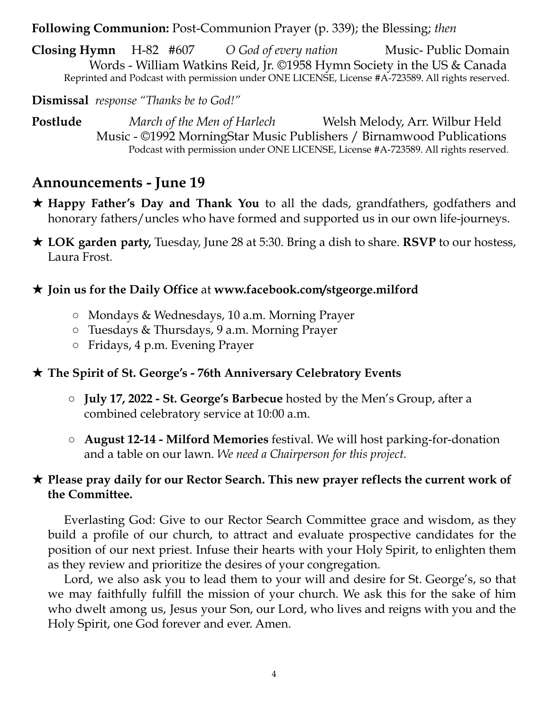**Following Communion:** Post-Communion Prayer (p. 339); the Blessing; *then*

**Closing Hymn** H-82 #607 *O God of every nation* Music- Public Domain Words - William Watkins Reid, Jr. ©1958 Hymn Society in the US & Canada Reprinted and Podcast with permission under ONE LICENSE, License #A-723589. All rights reserved.

**Dismissal** *response "Thanks be to God!"*

**Postlude** *March of the Men of Harlech* Welsh Melody, Arr. Wilbur Held Music - ©1992 MorningStar Music Publishers / Birnamwood Publications Podcast with permission under ONE LICENSE, License #A-723589. All rights reserved.

# **Announcements - June 19**

- ★ **Happy Father's Day and Thank You** to all the dads, grandfathers, godfathers and honorary fathers/uncles who have formed and supported us in our own life-journeys.
- ★ **LOK garden party,** Tuesday, June 28 at 5:30. Bring a dish to share. **RSVP** to our hostess, Laura Frost.

## ★ **Join us for the Daily Office** at **www.facebook.com/stgeorge.milford**

- Mondays & Wednesdays, 10 a.m. Morning Prayer
- Tuesdays & Thursdays, 9 a.m. Morning Prayer
- Fridays, 4 p.m. Evening Prayer

## ★ **The Spirit of St. George's - 76th Anniversary Celebratory Events**

- **July 17, 2022 St. George's Barbecue** hosted by the Men's Group, after a combined celebratory service at 10:00 a.m.
- **August 12-14 Milford Memories** festival. We will host parking-for-donation and a table on our lawn. *We need a Chairperson for this project.*

# ★ **Please pray daily for our Rector Search. This new prayer reflects the current work of the Committee.**

Everlasting God: Give to our Rector Search Committee grace and wisdom, as they build a profile of our church, to attract and evaluate prospective candidates for the position of our next priest. Infuse their hearts with your Holy Spirit, to enlighten them as they review and prioritize the desires of your congregation.

Lord, we also ask you to lead them to your will and desire for St. George's, so that we may faithfully fulfill the mission of your church. We ask this for the sake of him who dwelt among us, Jesus your Son, our Lord, who lives and reigns with you and the Holy Spirit, one God forever and ever. Amen.